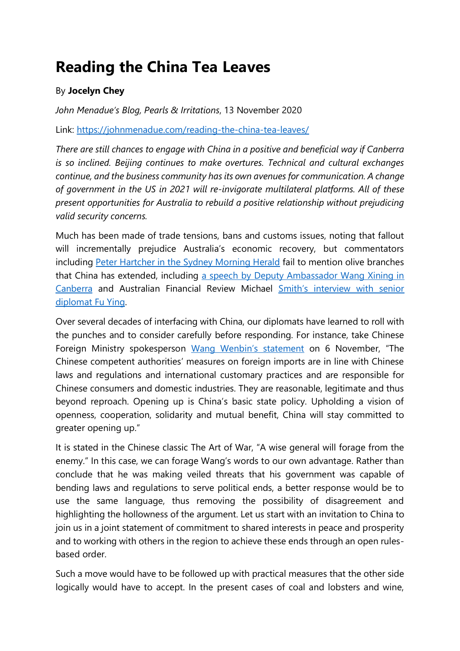## **Reading the China Tea Leaves**

## By **Jocelyn Chey**

*John Menadue's Blog, Pearls & Irritations*, 13 November 2020

Link:<https://johnmenadue.com/reading-the-china-tea-leaves/>

*There are still chances to engage with China in a positive and beneficial way if Canberra is so inclined. Beijing continues to make overtures. Technical and cultural exchanges continue, and the business community has its own avenues for communication. A change of government in the US in 2021 will re-invigorate multilateral platforms. All of these present opportunities for Australia to rebuild a positive relationship without prejudicing valid security concerns.*

Much has been made of trade tensions, bans and customs issues, noting that fallout will incrementally prejudice Australia's economic recovery, but commentators including [Peter Hartcher in the Sydney Morning Herald](https://www.smh.com.au/by/peter-hartcher-hve0w) fail to mention olive branches that China has extended, including [a speech by Deputy Ambassador Wang Xining in](http://au.china-embassy.org/eng/gdtp_16/t1809360.htm)  [Canberra](http://au.china-embassy.org/eng/gdtp_16/t1809360.htm) and Australian Financial Review Michael [Smith's interview with senior](https://www.afr.com/world/asia/top-china-diplomat-urges-end-to-confrontation-20200929-p5605c)  [diplomat Fu Ying.](https://www.afr.com/world/asia/top-china-diplomat-urges-end-to-confrontation-20200929-p5605c)

Over several decades of interfacing with China, our diplomats have learned to roll with the punches and to consider carefully before responding. For instance, take Chinese Foreign Ministry spokesperson [Wang Wenbin's statement](https://www.fmprc.gov.cn/mfa_eng/xwfw_665399/s2510_665401/t1830014.shtml) on 6 November, "The Chinese competent authorities' measures on foreign imports are in line with Chinese laws and regulations and international customary practices and are responsible for Chinese consumers and domestic industries. They are reasonable, legitimate and thus beyond reproach. Opening up is China's basic state policy. Upholding a vision of openness, cooperation, solidarity and mutual benefit, China will stay committed to greater opening up."

It is stated in the Chinese classic The Art of War, "A wise general will forage from the enemy." In this case, we can forage Wang's words to our own advantage. Rather than conclude that he was making veiled threats that his government was capable of bending laws and regulations to serve political ends, a better response would be to use the same language, thus removing the possibility of disagreement and highlighting the hollowness of the argument. Let us start with an invitation to China to join us in a joint statement of commitment to shared interests in peace and prosperity and to working with others in the region to achieve these ends through an open rulesbased order.

Such a move would have to be followed up with practical measures that the other side logically would have to accept. In the present cases of coal and lobsters and wine,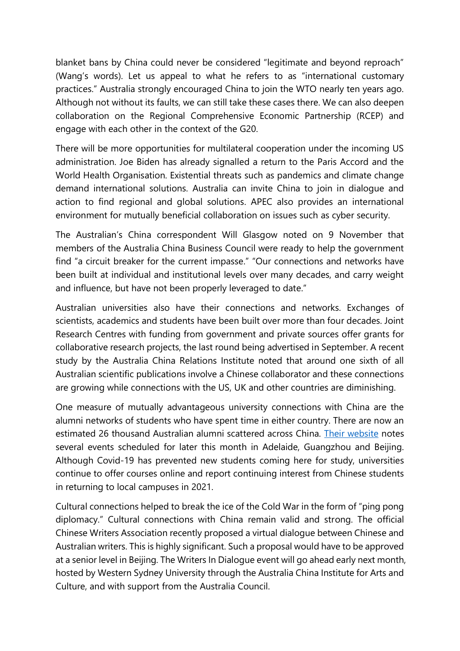blanket bans by China could never be considered "legitimate and beyond reproach" (Wang's words). Let us appeal to what he refers to as "international customary practices." Australia strongly encouraged China to join the WTO nearly ten years ago. Although not without its faults, we can still take these cases there. We can also deepen collaboration on the Regional Comprehensive Economic Partnership (RCEP) and engage with each other in the context of the G20.

There will be more opportunities for multilateral cooperation under the incoming US administration. Joe Biden has already signalled a return to the Paris Accord and the World Health Organisation. Existential threats such as pandemics and climate change demand international solutions. Australia can invite China to join in dialogue and action to find regional and global solutions. APEC also provides an international environment for mutually beneficial collaboration on issues such as cyber security.

The Australian's China correspondent Will Glasgow noted on 9 November that members of the Australia China Business Council were ready to help the government find "a circuit breaker for the current impasse." "Our connections and networks have been built at individual and institutional levels over many decades, and carry weight and influence, but have not been properly leveraged to date."

Australian universities also have their connections and networks. Exchanges of scientists, academics and students have been built over more than four decades. Joint Research Centres with funding from government and private sources offer grants for collaborative research projects, the last round being advertised in September. A recent study by the Australia China Relations Institute noted that around one sixth of all Australian scientific publications involve a Chinese collaborator and these connections are growing while connections with the US, UK and other countries are diminishing.

One measure of mutually advantageous university connections with China are the alumni networks of students who have spent time in either country. There are now an estimated 26 thousand Australian alumni scattered across China. [Their website](http://www.austchinaalumni.org.cn/) notes several events scheduled for later this month in Adelaide, Guangzhou and Beijing. Although Covid-19 has prevented new students coming here for study, universities continue to offer courses online and report continuing interest from Chinese students in returning to local campuses in 2021.

Cultural connections helped to break the ice of the Cold War in the form of "ping pong diplomacy." Cultural connections with China remain valid and strong. The official Chinese Writers Association recently proposed a virtual dialogue between Chinese and Australian writers. This is highly significant. Such a proposal would have to be approved at a senior level in Beijing. The Writers In Dialogue event will go ahead early next month, hosted by Western Sydney University through the Australia China Institute for Arts and Culture, and with support from the Australia Council.